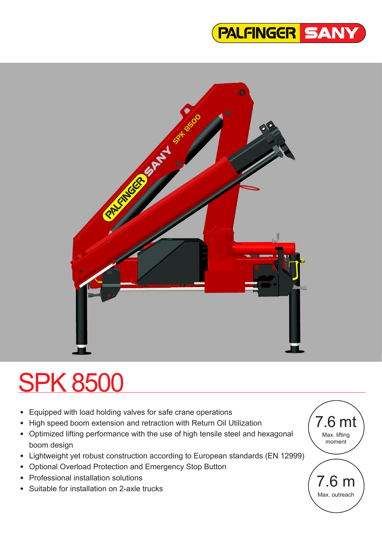## PALFINGER SANY



# SPK 8500

- Equipped with load holding valves for safe crane operations
- High speed boom extension and retraction with Return Oil Utilization
- Optimized lifting performance with the use of high tensile steel and hexagonal boom design
- Lightweight yet robust construction according to European standards (EN 12999)
- Optional Overload Protection and Emergency Stop Button
- Professional installation solutions
- Suitable for installation on 2-axle trucks